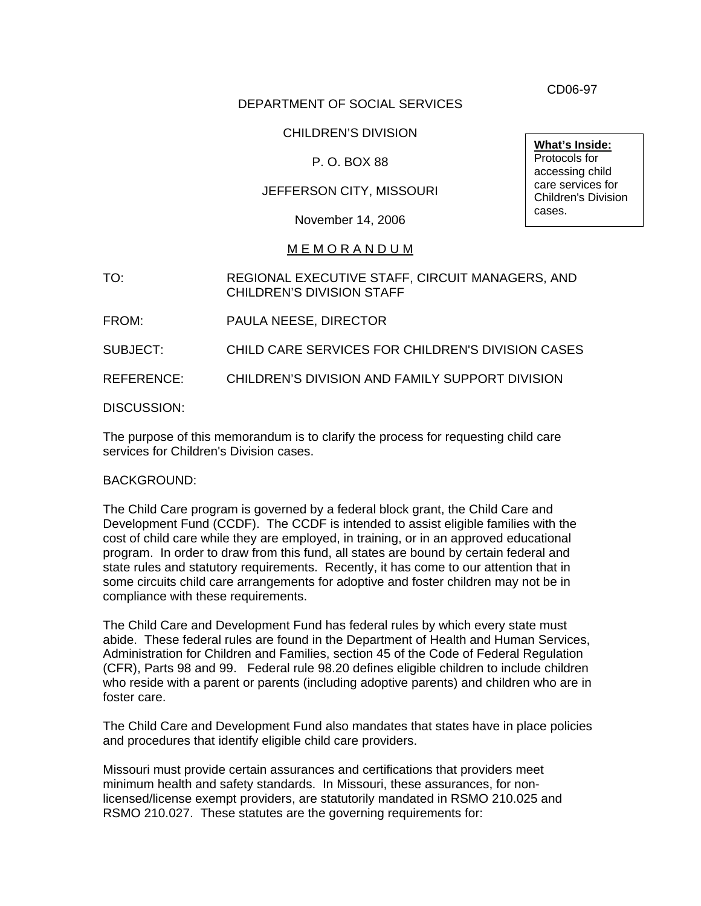DEPARTMENT OF SOCIAL SERVICES

## CHILDREN'S DIVISION

## P. O. BOX 88

## JEFFERSON CITY, MISSOURI

November 14, 2006

### M E M O R A N D U M

TO: REGIONAL EXECUTIVE STAFF, CIRCUIT MANAGERS, AND CHILDREN'S DIVISION STAFF

FROM: PAULA NEESE, DIRECTOR

SUBJECT: CHILD CARE SERVICES FOR CHILDREN'S DIVISION CASES

REFERENCE: CHILDREN'S DIVISION AND FAMILY SUPPORT DIVISION

DISCUSSION:

The purpose of this memorandum is to clarify the process for requesting child care services for Children's Division cases.

#### BACKGROUND:

The Child Care program is governed by a federal block grant, the Child Care and Development Fund (CCDF). The CCDF is intended to assist eligible families with the cost of child care while they are employed, in training, or in an approved educational program. In order to draw from this fund, all states are bound by certain federal and state rules and statutory requirements. Recently, it has come to our attention that in some circuits child care arrangements for adoptive and foster children may not be in compliance with these requirements.

The Child Care and Development Fund has federal rules by which every state must abide. These federal rules are found in the Department of Health and Human Services, Administration for Children and Families, section 45 of the Code of Federal Regulation (CFR), Parts 98 and 99. Federal rule 98.20 defines eligible children to include children who reside with a parent or parents (including adoptive parents) and children who are in foster care.

The Child Care and Development Fund also mandates that states have in place policies and procedures that identify eligible child care providers.

Missouri must provide certain assurances and certifications that providers meet minimum health and safety standards. In Missouri, these assurances, for nonlicensed/license exempt providers, are statutorily mandated in RSMO 210.025 and RSMO 210.027. These statutes are the governing requirements for:

CD06-97

**What's Inside:** Protocols for accessing child care services for Children's Division cases.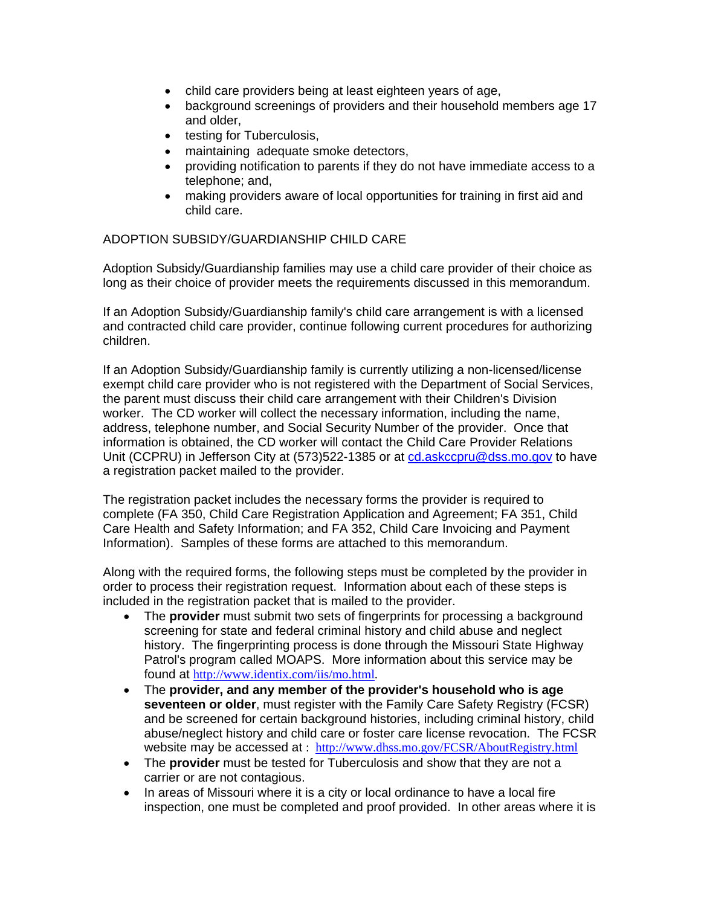- child care providers being at least eighteen years of age,
- background screenings of providers and their household members age 17 and older,
- testing for Tuberculosis,
- maintaining adequate smoke detectors,
- providing notification to parents if they do not have immediate access to a telephone; and,
- making providers aware of local opportunities for training in first aid and child care.

#### ADOPTION SUBSIDY/GUARDIANSHIP CHILD CARE

Adoption Subsidy/Guardianship families may use a child care provider of their choice as long as their choice of provider meets the requirements discussed in this memorandum.

If an Adoption Subsidy/Guardianship family's child care arrangement is with a licensed and contracted child care provider, continue following current procedures for authorizing children.

If an Adoption Subsidy/Guardianship family is currently utilizing a non-licensed/license exempt child care provider who is not registered with the Department of Social Services, the parent must discuss their child care arrangement with their Children's Division worker. The CD worker will collect the necessary information, including the name, address, telephone number, and Social Security Number of the provider. Once that information is obtained, the CD worker will contact the Child Care Provider Relations Unit (CCPRU) in Jefferson City at (573)522-1385 or at [cd.askccpru@dss.mo.gov](mailto:cd.askccpru@dss.mo.gov) to have a registration packet mailed to the provider.

The registration packet includes the necessary forms the provider is required to complete (FA 350, Child Care Registration Application and Agreement; FA 351, Child Care Health and Safety Information; and FA 352, Child Care Invoicing and Payment Information). Samples of these forms are attached to this memorandum.

Along with the required forms, the following steps must be completed by the provider in order to process their registration request. Information about each of these steps is included in the registration packet that is mailed to the provider.

- The **provider** must submit two sets of fingerprints for processing a background screening for state and federal criminal history and child abuse and neglect history. The fingerprinting process is done through the Missouri State Highway Patrol's program called MOAPS. More information about this service may be found at <http://www.identix.com/iis/mo.html>.
- The **provider, and any member of the provider's household who is age seventeen or older**, must register with the Family Care Safety Registry (FCSR) and be screened for certain background histories, including criminal history, child abuse/neglect history and child care or foster care license revocation. The FCSR website may be accessed at : http://www.dhss.mo.gov/FCSR/AboutRegistry.html
- The **provider** must be tested for Tuberculosis and show that they are not a carrier or are not contagious.
- In areas of Missouri where it is a city or local ordinance to have a local fire inspection, one must be completed and proof provided. In other areas where it is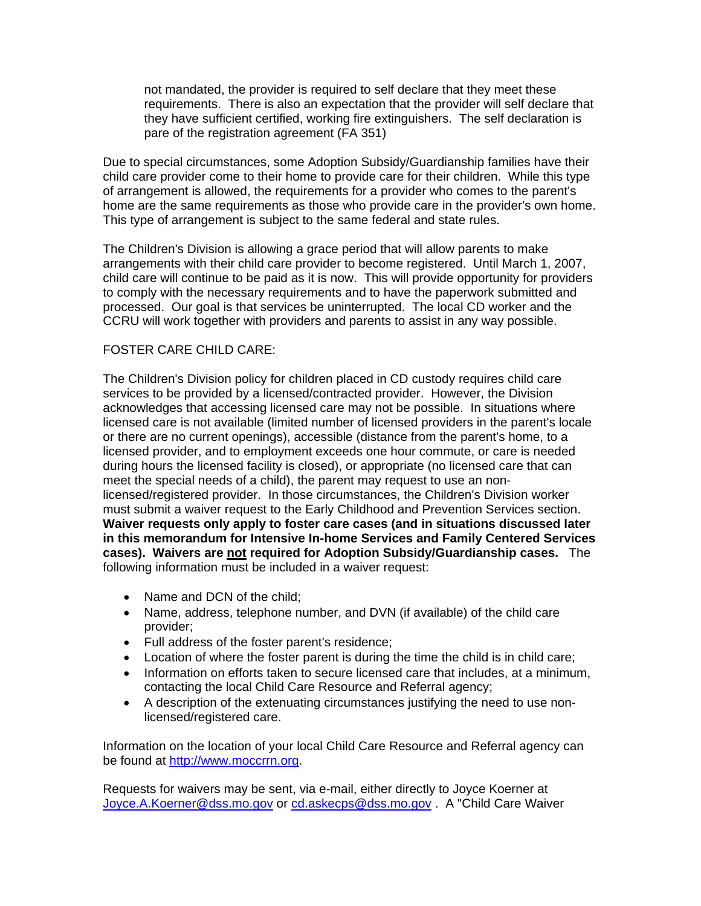not mandated, the provider is required to self declare that they meet these requirements. There is also an expectation that the provider will self declare that they have sufficient certified, working fire extinguishers. The self declaration is pare of the registration agreement (FA 351)

Due to special circumstances, some Adoption Subsidy/Guardianship families have their child care provider come to their home to provide care for their children. While this type of arrangement is allowed, the requirements for a provider who comes to the parent's home are the same requirements as those who provide care in the provider's own home. This type of arrangement is subject to the same federal and state rules.

The Children's Division is allowing a grace period that will allow parents to make arrangements with their child care provider to become registered. Until March 1, 2007, child care will continue to be paid as it is now. This will provide opportunity for providers to comply with the necessary requirements and to have the paperwork submitted and processed. Our goal is that services be uninterrupted. The local CD worker and the CCRU will work together with providers and parents to assist in any way possible.

#### FOSTER CARE CHILD CARE:

The Children's Division policy for children placed in CD custody requires child care services to be provided by a licensed/contracted provider. However, the Division acknowledges that accessing licensed care may not be possible. In situations where licensed care is not available (limited number of licensed providers in the parent's locale or there are no current openings), accessible (distance from the parent's home, to a licensed provider, and to employment exceeds one hour commute, or care is needed during hours the licensed facility is closed), or appropriate (no licensed care that can meet the special needs of a child), the parent may request to use an nonlicensed/registered provider. In those circumstances, the Children's Division worker must submit a waiver request to the Early Childhood and Prevention Services section. **Waiver requests only apply to foster care cases (and in situations discussed later in this memorandum for Intensive In-home Services and Family Centered Services cases). Waivers are not required for Adoption Subsidy/Guardianship cases.** The following information must be included in a waiver request:

- Name and DCN of the child;
- Name, address, telephone number, and DVN (if available) of the child care provider;
- Full address of the foster parent's residence;
- Location of where the foster parent is during the time the child is in child care;
- Information on efforts taken to secure licensed care that includes, at a minimum, contacting the local Child Care Resource and Referral agency;
- A description of the extenuating circumstances justifying the need to use nonlicensed/registered care.

Information on the location of your local Child Care Resource and Referral agency can be found at [http://www.moccrrn.org](http://www.moccrrn.org/).

Requests for waivers may be sent, via e-mail, either directly to Joyce Koerner at [Joyce.A.Koerner@dss.mo.gov](mailto:Joyce.A.Koerner@dss.mo.gov) or [cd.askecps@dss.mo.gov](mailto:cd.askecps@dss.mo.gov) . A "Child Care Waiver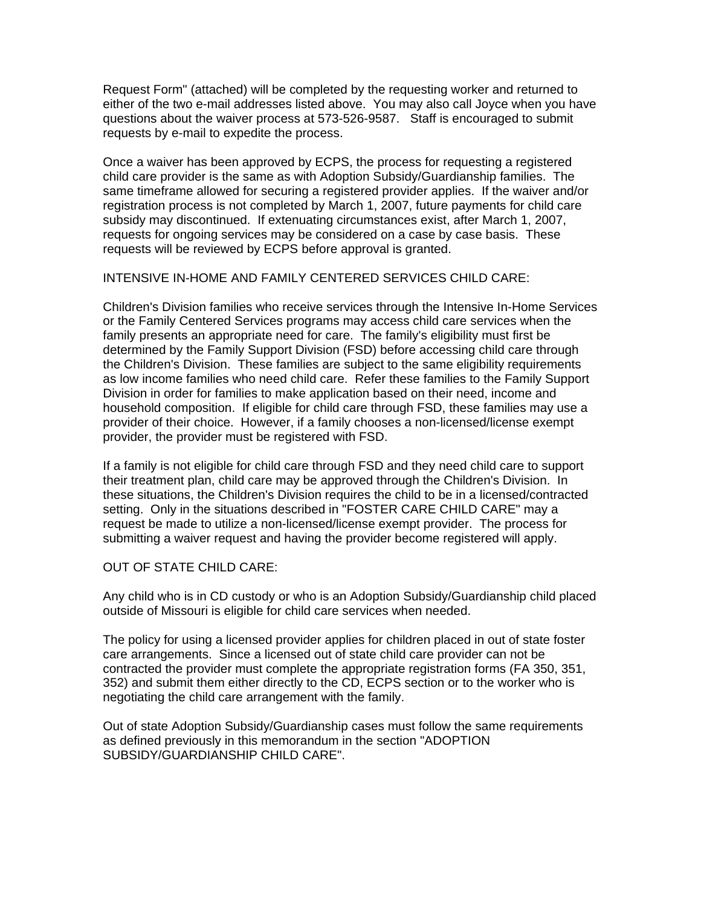Request Form" (attached) will be completed by the requesting worker and returned to either of the two e-mail addresses listed above. You may also call Joyce when you have questions about the waiver process at 573-526-9587. Staff is encouraged to submit requests by e-mail to expedite the process.

Once a waiver has been approved by ECPS, the process for requesting a registered child care provider is the same as with Adoption Subsidy/Guardianship families. The same timeframe allowed for securing a registered provider applies. If the waiver and/or registration process is not completed by March 1, 2007, future payments for child care subsidy may discontinued. If extenuating circumstances exist, after March 1, 2007, requests for ongoing services may be considered on a case by case basis. These requests will be reviewed by ECPS before approval is granted.

#### INTENSIVE IN-HOME AND FAMILY CENTERED SERVICES CHILD CARE:

Children's Division families who receive services through the Intensive In-Home Services or the Family Centered Services programs may access child care services when the family presents an appropriate need for care. The family's eligibility must first be determined by the Family Support Division (FSD) before accessing child care through the Children's Division. These families are subject to the same eligibility requirements as low income families who need child care. Refer these families to the Family Support Division in order for families to make application based on their need, income and household composition. If eligible for child care through FSD, these families may use a provider of their choice. However, if a family chooses a non-licensed/license exempt provider, the provider must be registered with FSD.

If a family is not eligible for child care through FSD and they need child care to support their treatment plan, child care may be approved through the Children's Division. In these situations, the Children's Division requires the child to be in a licensed/contracted setting. Only in the situations described in "FOSTER CARE CHILD CARE" may a request be made to utilize a non-licensed/license exempt provider. The process for submitting a waiver request and having the provider become registered will apply.

## OUT OF STATE CHILD CARE:

Any child who is in CD custody or who is an Adoption Subsidy/Guardianship child placed outside of Missouri is eligible for child care services when needed.

The policy for using a licensed provider applies for children placed in out of state foster care arrangements. Since a licensed out of state child care provider can not be contracted the provider must complete the appropriate registration forms (FA 350, 351, 352) and submit them either directly to the CD, ECPS section or to the worker who is negotiating the child care arrangement with the family.

Out of state Adoption Subsidy/Guardianship cases must follow the same requirements as defined previously in this memorandum in the section "ADOPTION SUBSIDY/GUARDIANSHIP CHILD CARE".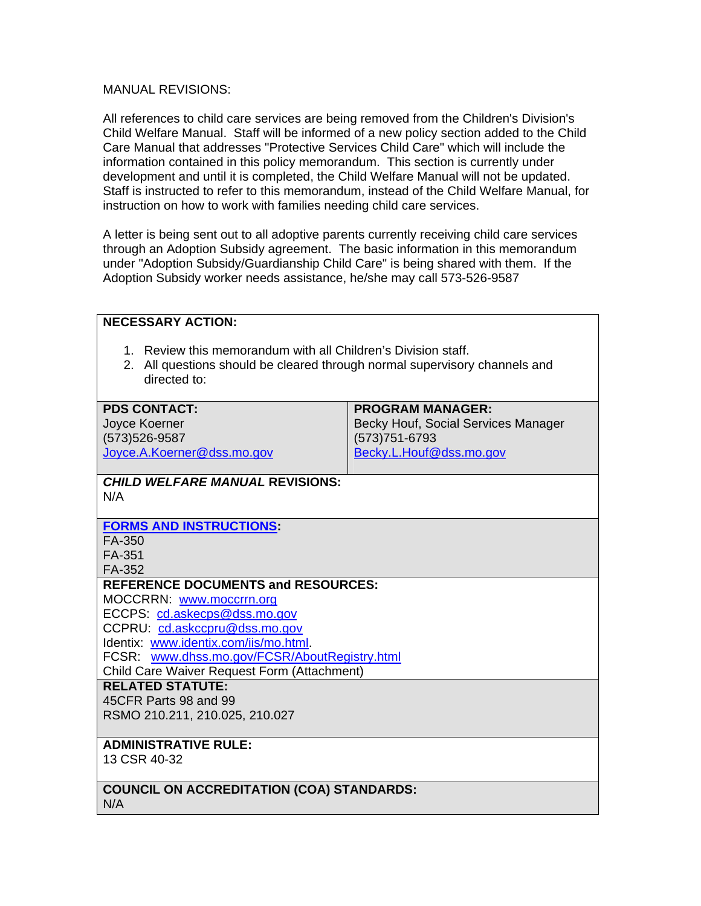#### MANUAL REVISIONS:

All references to child care services are being removed from the Children's Division's Child Welfare Manual. Staff will be informed of a new policy section added to the Child Care Manual that addresses "Protective Services Child Care" which will include the information contained in this policy memorandum. This section is currently under development and until it is completed, the Child Welfare Manual will not be updated. Staff is instructed to refer to this memorandum, instead of the Child Welfare Manual, for instruction on how to work with families needing child care services.

A letter is being sent out to all adoptive parents currently receiving child care services through an Adoption Subsidy agreement. The basic information in this memorandum under "Adoption Subsidy/Guardianship Child Care" is being shared with them. If the Adoption Subsidy worker needs assistance, he/she may call 573-526-9587

| <b>NECESSARY ACTION:</b>                                                                                                                                                                                                                                                        |                                                                                                             |
|---------------------------------------------------------------------------------------------------------------------------------------------------------------------------------------------------------------------------------------------------------------------------------|-------------------------------------------------------------------------------------------------------------|
| 1. Review this memorandum with all Children's Division staff.<br>2. All questions should be cleared through normal supervisory channels and<br>directed to:                                                                                                                     |                                                                                                             |
| <b>PDS CONTACT:</b><br>Joyce Koerner<br>(573) 526-9587<br>Joyce.A.Koerner@dss.mo.gov                                                                                                                                                                                            | <b>PROGRAM MANAGER:</b><br>Becky Houf, Social Services Manager<br>(573) 751-6793<br>Becky.L.Houf@dss.mo.gov |
| <b>CHILD WELFARE MANUAL REVISIONS:</b><br>N/A                                                                                                                                                                                                                                   |                                                                                                             |
| <b>FORMS AND INSTRUCTIONS:</b><br>FA-350<br>FA-351<br>FA-352                                                                                                                                                                                                                    |                                                                                                             |
| <b>REFERENCE DOCUMENTS and RESOURCES:</b><br>MOCCRRN: www.moccrrn.org<br>ECCPS: cd.askecps@dss.mo.gov<br>CCPRU: cd.askccpru@dss.mo.gov<br>Identix: www.identix.com/iis/mo.html.<br>FCSR: www.dhss.mo.gov/FCSR/AboutRegistry.html<br>Child Care Waiver Request Form (Attachment) |                                                                                                             |
| <b>RELATED STATUTE:</b><br>45CFR Parts 98 and 99<br>RSMO 210.211, 210.025, 210.027                                                                                                                                                                                              |                                                                                                             |
| <b>ADMINISTRATIVE RULE:</b><br>13 CSR 40-32                                                                                                                                                                                                                                     |                                                                                                             |
| <b>COUNCIL ON ACCREDITATION (COA) STANDARDS:</b><br>N/A                                                                                                                                                                                                                         |                                                                                                             |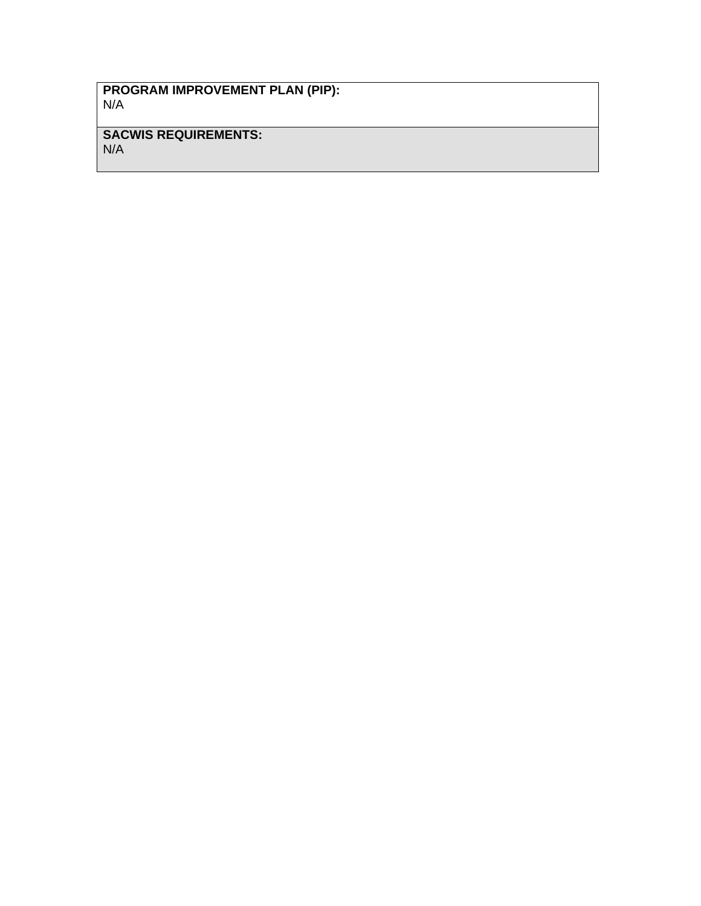### **PROGRAM IMPROVEMENT PLAN (PIP):**  N/A

# **SACWIS REQUIREMENTS:**

N/A